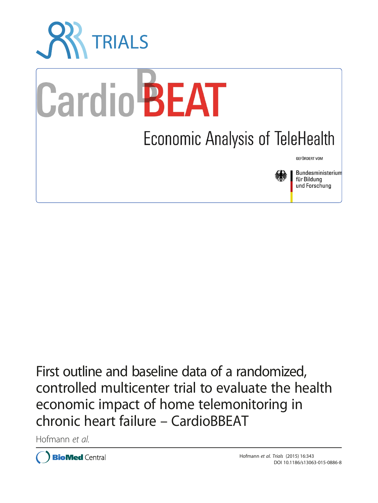

First outline and baseline data of a randomized, controlled multicenter trial to evaluate the health economic impact of home telemonitoring in chronic heart failure – CardioBBEAT

Hofmann et al.

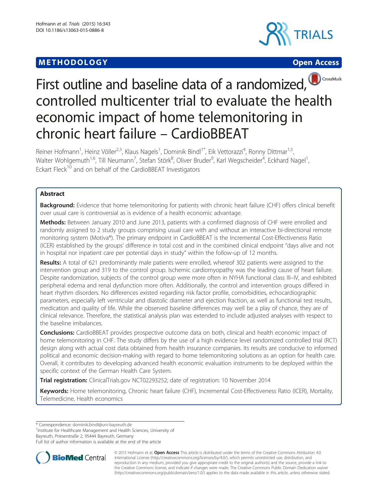## **METHODOLOGY CONSUMING ACCESS**







# First outline and baseline data of a randomized, controlled multicenter trial to evaluate the health economic impact of home telemonitoring in chronic heart failure – CardioBBEAT

Reiner Hofmann<sup>1</sup>, Heinz Völler<sup>2,3</sup>, Klaus Nagels<sup>1</sup>, Dominik Bindl<sup>1\*</sup>, Eik Vettorazzi<sup>4</sup>, Ronny Dittmar<sup>1,5</sup>, Walter Wohlgemuth<sup>1,6</sup>, Till Neumann<sup>7</sup>, Stefan Störk<sup>8</sup>, Oliver Bruder<sup>9</sup>, Karl Wegscheider<sup>4</sup>, Eckhard Nagel<sup>1</sup> , Eckart Fleck<sup>10</sup> and on behalf of the CardioBBEAT Investigators

## Abstract

Background: Evidence that home telemonitoring for patients with chronic heart failure (CHF) offers clinical benefit over usual care is controversial as is evidence of a health economic advantage.

Methods: Between January 2010 and June 2013, patients with a confirmed diagnosis of CHF were enrolled and randomly assigned to 2 study groups comprising usual care with and without an interactive bi-directional remote monitoring system (Motiva®). The primary endpoint in CardioBBEAT is the Incremental Cost-Effectiveness Ratio (ICER) established by the groups' difference in total cost and in the combined clinical endpoint "days alive and not in hospital nor inpatient care per potential days in study" within the follow-up of 12 months.

Results: A total of 621 predominantly male patients were enrolled, whereof 302 patients were assigned to the intervention group and 319 to the control group. Ischemic cardiomyopathy was the leading cause of heart failure. Despite randomization, subjects of the control group were more often in NYHA functional class III–IV, and exhibited peripheral edema and renal dysfunction more often. Additionally, the control and intervention groups differed in heart rhythm disorders. No differences existed regarding risk factor profile, comorbidities, echocardiographic parameters, especially left ventricular and diastolic diameter and ejection fraction, as well as functional test results, medication and quality of life. While the observed baseline differences may well be a play of chance, they are of clinical relevance. Therefore, the statistical analysis plan was extended to include adjusted analyses with respect to the baseline imbalances.

**Conclusions:** CardioBBEAT provides prospective outcome data on both, clinical and health economic impact of home telemonitoring in CHF. The study differs by the use of a high evidence level randomized controlled trial (RCT) design along with actual cost data obtained from health insurance companies. Its results are conducive to informed political and economic decision-making with regard to home telemonitoring solutions as an option for health care. Overall, it contributes to developing advanced health economic evaluation instruments to be deployed within the specific context of the German Health Care System.

Trial registration: ClinicalTrials.gov [NCT02293252](https://clinicaltrials.gov/ct2/show/NCT02293252); date of registration: 10 November 2014

Keywords: Home telemonitoring, Chronic heart failure (CHF), Incremental Cost-Effectiveness Ratio (ICER), Mortality, Telemedicine, Health economics

<sup>1</sup>Institute for Healthcare Management and Health Sciences, University of

Bayreuth, Prieserstraße 2, 95444 Bayreuth, Germany Full list of author information is available at the end of the article



© 2015 Hofmann et al. Open Access This article is distributed under the terms of the Creative Commons Attribution 4.0 International License [\(http://creativecommons.org/licenses/by/4.0/](http://creativecommons.org/licenses/by/4.0/)), which permits unrestricted use, distribution, and reproduction in any medium, provided you give appropriate credit to the original author(s) and the source, provide a link to the Creative Commons license, and indicate if changes were made. The Creative Commons Public Domain Dedication waiver [\(http://creativecommons.org/publicdomain/zero/1.0/](http://creativecommons.org/publicdomain/zero/1.0/)) applies to the data made available in this article, unless otherwise stated.

<sup>\*</sup> Correspondence: [dominik.bindl@uni-bayreuth.de](mailto:dominik.bindl@uni-bayreuth.de) <sup>1</sup>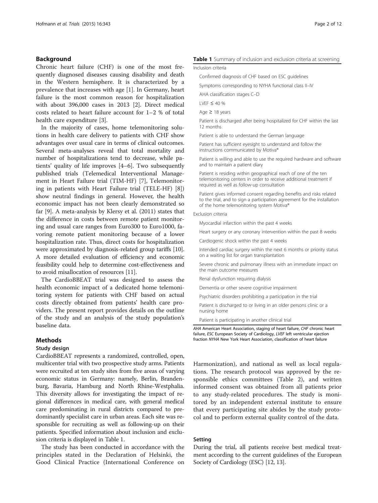## Background

Chronic heart failure (CHF) is one of the most frequently diagnosed diseases causing disability and death in the Western hemisphere. It is characterized by a prevalence that increases with age [\[1\]](#page-12-0). In Germany, heart failure is the most common reason for hospitalization with about 396,000 cases in 2013 [[2\]](#page-12-0). Direct medical costs related to heart failure account for 1–2 % of total health care expenditure [\[3](#page-12-0)].

In the majority of cases, home telemonitoring solutions in health care delivery to patients with CHF show advantages over usual care in terms of clinical outcomes. Several meta-analyses reveal that total mortality and number of hospitalizations tend to decrease, while patients' quality of life improves [\[4](#page-12-0)–[6\]](#page-12-0). Two subsequently published trials (Telemedical Interventional Management in Heart Failure trial (TIM-HF) [\[7](#page-12-0)], Telemonitoring in patients with Heart Failure trial (TELE-HF) [\[8](#page-12-0)]) show neutral findings in general. However, the health economic impact has not been clearly demonstrated so far [[9\]](#page-12-0). A meta-analysis by Klersy et al. (2011) states that the difference in costs between remote patient monitoring and usual care ranges from Euro300 to Euro1000, favoring remote patient monitoring because of a lower hospitalization rate. Thus, direct costs for hospitalization were approximated by diagnosis-related group tariffs [[10](#page-12-0)]. A more detailed evaluation of efficiency and economic feasibility could help to determine cost-effectiveness and to avoid misallocation of resources [[11\]](#page-12-0).

The CardioBBEAT trial was designed to assess the health economic impact of a dedicated home telemonitoring system for patients with CHF based on actual costs directly obtained from patients' health care providers. The present report provides details on the outline of the study and an analysis of the study population's baseline data.

## Methods

## Study design

CardioBBEAT represents a randomized, controlled, open, multicenter trial with two prospective study arms. Patients were recruited at ten study sites from five areas of varying economic status in Germany: namely, Berlin, Brandenburg, Bavaria, Hamburg and North Rhine-Westphalia. This diversity allows for investigating the impact of regional differences in medical care, with general medical care predominating in rural districts compared to predominantly specialist care in urban areas. Each site was responsible for recruiting as well as following-up on their patients. Specified information about inclusion and exclusion criteria is displayed in Table 1.

The study has been conducted in accordance with the principles stated in the Declaration of Helsinki, the Good Clinical Practice (International Conference on

#### Table 1 Summary of inclusion and exclusion criteria at screening

Inclusion criteria

Confirmed diagnosis of CHF based on ESC guidelines

Symptoms corresponding to NYHA functional class II–IV

AHA classification stages C–D

LVEF  $\leq 40$  %

Age  $\geq$  18 years

Patient is discharged after being hospitalized for CHF within the last 12 months

Patient is able to understand the German language

Patient has sufficient eyesight to understand and follow the instructions communicated by Motiva®

Patient is willing and able to use the required hardware and software and to maintain a patient diary

Patient is residing within geographical reach of one of the ten telemonitoring centers in order to receive additional treatment if required as well as follow-up consultation

Patient gives informed consent regarding benefits and risks related to the trial, and to sign a participation agreement for the installation of the home telemonitoring system Motiva®

#### Exclusion criteria

Myocardial infarction within the past 4 weeks

Heart surgery or any coronary intervention within the past 8 weeks

Cardiogenic shock within the past 4 weeks

Intended cardiac surgery within the next 6 months or priority status on a waiting list for organ transplantation

Severe chronic and pulmonary illness with an immediate impact on the main outcome measures

Renal dysfunction requiring dialysis

Dementia or other severe cognitive impairment

Psychiatric disorders prohibiting a participation in the trial

Patient is discharged to or living in an older persons clinic or a nursing home

Patient is participating in another clinical trial

AHA American Heart Association, staging of heart failure, CHF chronic heart failure, ESC European Society of Cardiology, LVEF left ventricular ejection fraction NYHA New York Heart Association, classification of heart failure

Harmonization), and national as well as local regulations. The research protocol was approved by the responsible ethics committees (Table [2](#page-3-0)), and written informed consent was obtained from all patients prior to any study-related procedures. The study is monitored by an independent external institute to ensure that every participating site abides by the study protocol and to perform external quality control of the data.

#### Setting

During the trial, all patients receive best medical treatment according to the current guidelines of the European Society of Cardiology (ESC) [\[12, 13](#page-12-0)].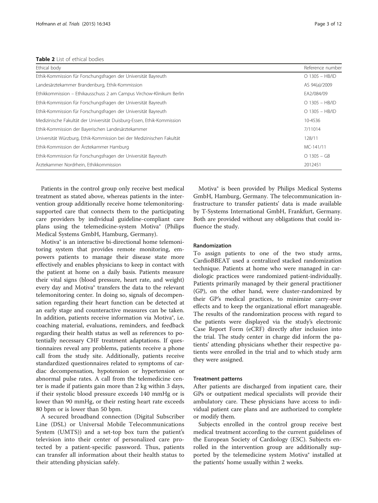<span id="page-3-0"></span>Table 2 List of ethical bodies

| Ethical body                                                           | Reference number |
|------------------------------------------------------------------------|------------------|
| Ethik-Kommission für Forschungsfragen der Universität Bayreuth         | $O$ 1305 - HB/ID |
| Landesärztekammer Brandenburg, Ethik-Kommission                        | AS 94(a)/2009    |
| Ethikkommission – Ethikausschuss 2 am Campus Virchow-Klinikum Berlin   | EA2/084/09       |
| Ethik-Kommission für Forschungsfragen der Universität Bayreuth         | $O$ 1305 - HB/ID |
| Ethik-Kommission für Forschungsfragen der Universität Bayreuth         | $O$ 1305 - HB/ID |
| Medizinische Fakultät der Universität Duisburg-Essen, Ethik-Kommission | 10-4536          |
| Ethik-Kommission der Bayerischen Landesärztekammer                     | 7/11014          |
| Universität Würzburg, Ethik-Kommission bei der Medizinischen Fakultät  | 128/11           |
| Ethik-Kommission der Ärztekammer Hamburg                               | MC-141/11        |
| Ethik-Kommission für Forschungsfragen der Universität Bayreuth         | $O$ 1305 – GB    |
| Ärztekammer Nordrhein, Ethikkommission                                 | 2012451          |

Patients in the control group only receive best medical treatment as stated above, whereas patients in the intervention group additionally receive home telemonitoringsupported care that connects them to the participating care providers by individual guideline-compliant care plans using the telemedicine-system Motiva® (Philips Medical Systems GmbH, Hamburg, Germany).

Motiva® is an interactive bi-directional home telemonitoring system that provides remote monitoring, empowers patients to manage their disease state more effectively and enables physicians to keep in contact with the patient at home on a daily basis. Patients measure their vital signs (blood pressure, heart rate, and weight) every day and Motiva® transfers the data to the relevant telemonitoring center. In doing so, signals of decompensation regarding their heart function can be detected at an early stage and counteractive measures can be taken. In addition, patients receive information via Motiva®, i.e. coaching material, evaluations, reminders, and feedback regarding their health status as well as references to potentially necessary CHF treatment adaptations. If questionnaires reveal any problems, patients receive a phone call from the study site. Additionally, patients receive standardized questionnaires related to symptoms of cardiac decompensation, hypotension or hypertension or abnormal pulse rates. A call from the telemedicine center is made if patients gain more than 2 kg within 3 days, if their systolic blood pressure exceeds 140 mmHg or is lower than 90 mmHg, or their resting heart rate exceeds 80 bpm or is lower than 50 bpm.

A secured broadband connection (Digital Subscriber Line (DSL) or Universal Mobile Telecommunications System (UMTS)) and a set-top box turn the patient's television into their center of personalized care protected by a patient-specific password. Thus, patients can transfer all information about their health status to their attending physician safely.

Motiva® is been provided by Philips Medical Systems GmbH, Hamburg, Germany. The telecommunication infrastructure to transfer patients' data is made available by T-Systems International GmbH, Frankfurt, Germany. Both are provided without any obligations that could influence the study.

## Randomization

To assign patients to one of the two study arms, CardioBBEAT used a centralized stacked randomization technique. Patients at home who were managed in cardiologic practices were randomized patient-individually. Patients primarily managed by their general practitioner (GP), on the other hand, were cluster-randomized by their GP's medical practices, to minimize carry-over effects and to keep the organizational effort manageable. The results of the randomization process with regard to the patients were displayed via the study's electronic Case Report Form (eCRF) directly after inclusion into the trial. The study center in charge did inform the patients' attending physicians whether their respective patients were enrolled in the trial and to which study arm they were assigned.

#### Treatment patterns

After patients are discharged from inpatient care, their GPs or outpatient medical specialists will provide their ambulatory care. These physicians have access to individual patient care plans and are authorized to complete or modify them.

Subjects enrolled in the control group receive best medical treatment according to the current guidelines of the European Society of Cardiology (ESC). Subjects enrolled in the intervention group are additionally supported by the telemedicine system Motiva® installed at the patients' home usually within 2 weeks.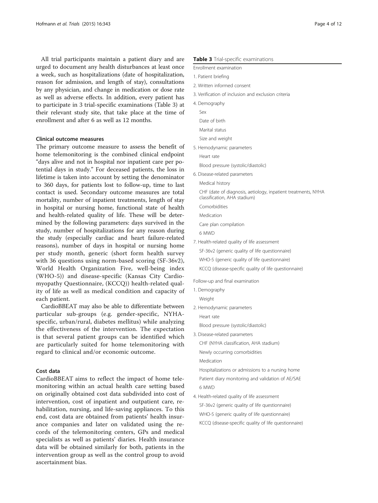All trial participants maintain a patient diary and are urged to document any health disturbances at least once a week, such as hospitalizations (date of hospitalization, reason for admission, and length of stay), consultations by any physician, and change in medication or dose rate as well as adverse effects. In addition, every patient has to participate in 3 trial-specific examinations (Table 3) at their relevant study site, that take place at the time of enrollment and after 6 as well as 12 months.

#### Clinical outcome measures

The primary outcome measure to assess the benefit of home telemonitoring is the combined clinical endpoint "days alive and not in hospital nor inpatient care per potential days in study." For deceased patients, the loss in lifetime is taken into account by setting the denominator to 360 days, for patients lost to follow-up, time to last contact is used. Secondary outcome measures are total mortality, number of inpatient treatments, length of stay in hospital or nursing home, functional state of health and health-related quality of life. These will be determined by the following parameters: days survived in the study, number of hospitalizations for any reason during the study (especially cardiac and heart failure-related reasons), number of days in hospital or nursing home per study month, generic (short form health survey with 36 questions using norm-based scoring (SF-36v2), World Health Organization Five, well-being index (WHO-5)) and disease-specific (Kansas City Cardiomyopathy Questionnaire, (KCCQ)) health-related quality of life as well as medical condition and capacity of each patient.

CardioBBEAT may also be able to differentiate between particular sub-groups (e.g. gender-specific, NYHAspecific, urban/rural, diabetes mellitus) while analyzing the effectiveness of the intervention. The expectation is that several patient groups can be identified which are particularly suited for home telemonitoring with regard to clinical and/or economic outcome.

## Cost data

CardioBBEAT aims to reflect the impact of home telemonitoring within an actual health care setting based on originally obtained cost data subdivided into cost of intervention, cost of inpatient and outpatient care, rehabilitation, nursing, and life-saving appliances. To this end, cost data are obtained from patients' health insurance companies and later on validated using the records of the telemonitoring centers, GPs and medical specialists as well as patients' diaries. Health insurance data will be obtained similarly for both, patients in the intervention group as well as the control group to avoid ascertainment bias.

#### Table 3 Trial-specific examinations

Enrollment examination

- 1. Patient briefing
- 2. Written informed consent
- 3. Verification of inclusion and exclusion criteria
- 4. Demography

Sex

- Date of birth
- Marital status
- Size and weight
- 5. Hemodynamic parameters

Heart rate

- Blood pressure (systolic/diastolic)
- 6. Disease-related parameters

Medical history

CHF (date of diagnosis, aetiology, inpatient treatments, NYHA classification, AHA stadium)

Comorbidities

Medication

Care plan compilation

6 MWD

- 7. Health-related quality of life assessment
	- SF-36v2 (generic quality of life questionnaire)

WHO-5 (generic quality of life questionnaire)

KCCQ (disease-specific quality of life questionnaire)

Follow-up and final examination

- 1. Demography
	- Weight
- 2. Hemodynamic parameters

Heart rate

Blood pressure (systolic/diastolic)

3. Disease-related parameters CHF (NYHA classification, AHA stadium) Newly occurring comorbidities Medication

Hospitalizations or admissions to a nursing home Patient diary monitoring and validation of AE/SAE 6 MWD

4. Health-related quality of life assessment SF-36v2 (generic quality of life questionnaire) WHO-5 (generic quality of life questionnaire) KCCQ (disease-specific quality of life questionnaire)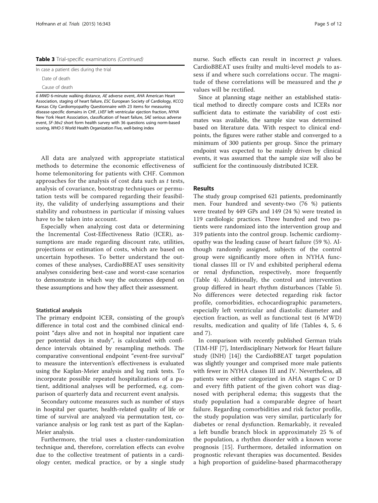|  |  | Table 3 Trial-specific examinations (Continued) |  |
|--|--|-------------------------------------------------|--|
|--|--|-------------------------------------------------|--|

|  |  |  | In case a patient dies during the trial |  |  |  |  |
|--|--|--|-----------------------------------------|--|--|--|--|
|--|--|--|-----------------------------------------|--|--|--|--|

Date of death Cause of death

6 MWD 6-minute walking distance, AE adverse event, AHA American Heart Association, staging of heart failure, ESC European Society of Cardiology, KCCQ Kansas City Cardiomyopathy Questionnaire with 23 items for measuring disease-specific domains in CHF, LVEF left ventricular ejection fraction, NYHA New York Heart Association, classification of heart failure, SAE serious adverse event, SF-36v2 short form health survey with 36 questions using norm-based scoring, WHO-5 World Health Organization Five, well-being index

All data are analyzed with appropriate statistical methods to determine the economic effectiveness of home telemonitoring for patients with CHF. Common approaches for the analysis of cost data such as t tests, analysis of covariance, bootstrap techniques or permutation tests will be compared regarding their feasibility, the validity of underlying assumptions and their stability and robustness in particular if missing values have to be taken into account.

Especially when analyzing cost data or determining the Incremental Cost-Effectiveness Ratio (ICER), assumptions are made regarding discount rate, utilities, projections or estimation of costs, which are based on uncertain hypotheses. To better understand the outcomes of these analyses, CardioBBEAT uses sensitivity analyses considering best-case and worst-case scenarios to demonstrate in which way the outcomes depend on these assumptions and how they affect their assessment.

#### Statistical analysis

The primary endpoint ICER, consisting of the group's difference in total cost and the combined clinical endpoint "days alive and not in hospital nor inpatient care per potential days in study", is calculated with confidence intervals obtained by resampling methods. The comparative conventional endpoint "event-free survival" to measure the intervention's effectiveness is evaluated using the Kaplan-Meier analysis and log rank tests. To incorporate possible repeated hospitalizations of a patient, additional analyses will be performed, e.g. comparison of quarterly data and recurrent event analysis.

Secondary outcome measures such as number of stays in hospital per quarter, health-related quality of life or time of survival are analyzed via permutation test, covariance analysis or log rank test as part of the Kaplan-Meier analysis.

Furthermore, the trial uses a cluster-randomization technique and, therefore, correlation effects can evolve due to the collective treatment of patients in a cardiology center, medical practice, or by a single study

nurse. Such effects can result in incorrect  $p$  values. CardioBBEAT uses frailty and multi-level models to assess if and where such correlations occur. The magnitude of these correlations will be measured and the  $p$ values will be rectified.

Since at planning stage neither an established statistical method to directly compare costs and ICERs nor sufficient data to estimate the variability of cost estimates was available, the sample size was determined based on literature data. With respect to clinical endpoints, the figures were rather stable and converged to a minimum of 300 patients per group. Since the primary endpoint was expected to be mainly driven by clinical events, it was assumed that the sample size will also be sufficient for the continuously distributed ICER.

## Results

The study group comprised 621 patients, predominantly men. Four hundred and seventy-two (76 %) patients were treated by 449 GPs and 149 (24 %) were treated in 119 cardiologic practices. Three hundred and two patients were randomized into the intervention group and 319 patients into the control group. Ischemic cardiomyopathy was the leading cause of heart failure (59 %). Although randomly assigned, subjects of the control group were significantly more often in NYHA functional classes III or IV and exhibited peripheral edema or renal dysfunction, respectively, more frequently (Table [4](#page-6-0)). Additionally, the control and intervention group differed in heart rhythm disturbances (Table [5](#page-7-0)). No differences were detected regarding risk factor profile, comorbidities, echocardiographic parameters, especially left ventricular and diastolic diameter and ejection fraction, as well as functional test (6 MWD) results, medication and quality of life (Tables [4](#page-6-0), [5,](#page-7-0) [6](#page-8-0) and [7](#page-8-0)).

In comparison with recently published German trials (TIM-HF [\[7](#page-12-0)], Interdisciplinary Network for Heart failure study (INH) [\[14](#page-12-0)]) the CardioBBEAT target population was slightly younger and comprised more male patients with fewer in NYHA classes III and IV. Nevertheless, all patients were either categorized in AHA stages C or D and every fifth patient of the given cohort was diagnosed with peripheral edema; this suggests that the study population had a comparable degree of heart failure. Regarding comorbidities and risk factor profile, the study population was very similar, particularly for diabetes or renal dysfunction. Remarkably, it revealed a left bundle branch block in approximately 25 % of the population, a rhythm disorder with a known worse prognosis [[15\]](#page-12-0). Furthermore, detailed information on prognostic relevant therapies was documented. Besides a high proportion of guideline-based pharmacotherapy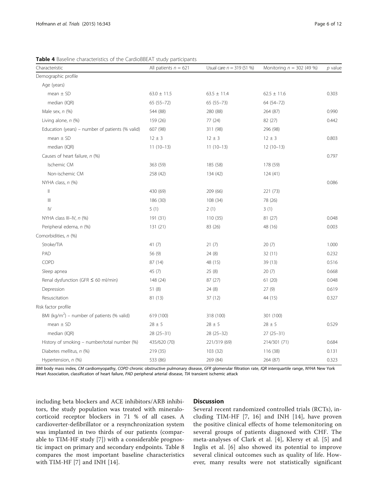| Characteristic                                          | All patients $n = 621$ | Usual care $n = 319(51%)$ | Monitoring $n = 302$ (49 %) | $p$ value |
|---------------------------------------------------------|------------------------|---------------------------|-----------------------------|-----------|
| Demographic profile                                     |                        |                           |                             |           |
| Age (years)                                             |                        |                           |                             |           |
| mean $\pm$ SD                                           | $63.0 \pm 11.5$        | $63.5 \pm 11.4$           | $62.5 \pm 11.6$             | 0.303     |
| median (IQR)                                            | 65 (55-72)             | 65 (55-73)                | 64 (54-72)                  |           |
| Male sex, $n$ (%)                                       | 544 (88)               | 280 (88)                  | 264 (87)                    | 0.990     |
| Living alone, n (%)                                     | 159 (26)               | 77(24)                    | 82 (27)                     | 0.442     |
| Education (years) – number of patients (% valid)        | 607 (98)               | 311 (98)                  | 296 (98)                    |           |
| mean $\pm$ SD                                           | $12 \pm 3$             | $12 \pm 3$                | $12 \pm 3$                  | 0.803     |
| median (IQR)                                            | $11(10-13)$            | $11(10-13)$               | $12(10-13)$                 |           |
| Causes of heart failure, n (%)                          |                        |                           |                             | 0.797     |
| Ischemic CM                                             | 363 (59)               | 185 (58)                  | 178 (59)                    |           |
| Non-ischemic CM                                         | 258 (42)               | 134 (42)                  | 124(41)                     |           |
| NYHA class, n (%)                                       |                        |                           |                             | 0.086     |
| $\parallel$                                             | 430 (69)               | 209 (66)                  | 221 (73)                    |           |
| $\  \ $                                                 | 186 (30)               | 108 (34)                  | 78 (26)                     |           |
| $\mathsf{IV}$                                           | 5(1)                   | 2(1)                      | 3(1)                        |           |
| NYHA class III-IV, $n$ (%)                              | 191 (31)               | 110 (35)                  | 81 (27)                     | 0.048     |
| Peripheral edema, n (%)                                 | 131 (21)               | 83 (26)                   | 48 (16)                     | 0.003     |
| Comorbidities, n (%)                                    |                        |                           |                             |           |
| Stroke/TIA                                              | 41 $(7)$               | 21(7)                     | 20(7)                       | 1.000     |
| PAD                                                     | 56 (9)                 | 24(8)                     | 32(11)                      | 0.232     |
| COPD                                                    | 87 (14)                | 48 (15)                   | 39 (13)                     | 0.516     |
| Sleep apnea                                             | 45 (7)                 | 25 (8)                    | 20(7)                       | 0.668     |
| Renal dysfunction (GFR $\leq$ 60 ml/min)                | 148 (24)               | 87(27)                    | 61(20)                      | 0.048     |
| Depression                                              | 51(8)                  | 24(8)                     | 27(9)                       | 0.619     |
| Resuscitation                                           | 81 (13)                | 37 (12)                   | 44 (15)                     | 0.327     |
| Risk factor profile                                     |                        |                           |                             |           |
| BMI (kg/m <sup>2</sup> ) – number of patients (% valid) | 619 (100)              | 318 (100)                 | 301 (100)                   |           |
| $mean \pm SD$                                           | $28 \pm 5$             | $28 \pm 5$                | $28 \pm 5$                  | 0.529     |
| median (IQR)                                            | $28(25-31)$            | $28(25-32)$               | $27(25-31)$                 |           |
| History of smoking - number/total number (%)            | 435/620 (70)           | 221/319 (69)              | 214/301 (71)                | 0.684     |
| Diabetes mellitus, n (%)                                | 219 (35)               | 103(32)                   | 116 (38)                    | 0.131     |
| Hypertension, n (%)                                     | 533 (86)               | 269 (84)                  | 264 (87)                    | 0.323     |

<span id="page-6-0"></span>Table 4 Baseline characteristics of the CardioBBEAT study participants

BMI body mass index, CM cardiomyopathy, COPD chronic obstructive pulmonary disease, GFR glomerular filtration rate, IQR interquartile range, NYHA New York Heart Association, classification of heart failure, PAD peripheral arterial disease, TIA transient ischemic attack

including beta blockers and ACE inhibitors/ARB inhibitors, the study population was treated with mineralocorticoid receptor blockers in 71 % of all cases. A cardioverter-defibrillator or a resynchronization system was implanted in two thirds of our patients (comparable to TIM-HF study [[7](#page-12-0)]) with a considerable prognostic impact on primary and secondary endpoints. Table [8](#page-9-0) compares the most important baseline characteristics with TIM-HF [[7\]](#page-12-0) and INH [\[14](#page-12-0)].

## **Discussion**

Several recent randomized controlled trials (RCTs), including TIM-HF [[7, 16](#page-12-0)] and INH [\[14](#page-12-0)], have proven the positive clinical effects of home telemonitoring on several groups of patients diagnosed with CHF. The meta-analyses of Clark et al. [\[4\]](#page-12-0), Klersy et al. [[5\]](#page-12-0) and Inglis et al. [[6](#page-12-0)] also showed its potential to improve several clinical outcomes such as quality of life. However, many results were not statistically significant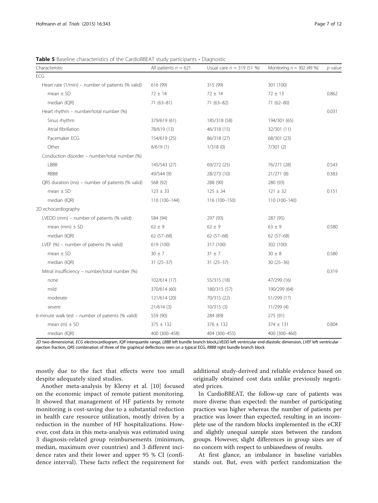<span id="page-7-0"></span>Table 5 Baseline characteristics of the CardioBBEAT study participants - Diagnostic

| Characteristic                                    | All patients $n = 621$ | Usual care $n = 319(51%)$ | Monitoring $n = 302$ (49 %) | $p$ value |  |
|---------------------------------------------------|------------------------|---------------------------|-----------------------------|-----------|--|
| ECG                                               |                        |                           |                             |           |  |
| Heart rate (1/min) – number of patients (% valid) | 616 (99)               | 315 (99)                  | 301 (100)                   |           |  |
| mean $\pm$ SD                                     | $72 \pm 14$            | $72 \pm 14$               | $72 \pm 13$                 | 0.862     |  |
| median (IQR)                                      | $71(63 - 81)$          | $71(63-82)$               | $71(62 - 80)$               |           |  |
| Heart rhythm - number/total number (%)            |                        |                           |                             | 0.031     |  |
| Sinus rhythm                                      | 379/619 (61)           | 185/318 (58)              | 194/301 (65)                |           |  |
| Atrial fibrillation                               | 78/619 (13)            | 46/318 (15)               | 32/301 (11)                 |           |  |
| Pacemaker ECG                                     | 154/619 (25)           | 86/318 (27)               | 68/301 (23)                 |           |  |
| Other                                             | 8/619(1)               | 1/318(0)                  | 7/301(2)                    |           |  |
| Conduction disorder - number/total number (%)     |                        |                           |                             |           |  |
| LBBB                                              | 145/543 (27)           | 69/272 (25)               | 76/271 (28)                 | 0.543     |  |
| <b>RBBB</b>                                       | 49/544 (9)             | 28/273 (10)               | 21/271 (8)                  | 0.383     |  |
| QRS duration (ms) - number of patients (% valid)  | 568 (92)               | 288 (90)                  | 280 (93)                    |           |  |
| mean $\pm$ SD                                     | $123 \pm 33$           | $125 \pm 34$              | $121 \pm 32$                | 0.151     |  |
| median (IQR)                                      | 110 (100-144)          | 116 (100-150)             | 110 (100-140)               |           |  |
| 2D echocardiography                               |                        |                           |                             |           |  |
| LVEDD (mm) - number of patients (% valid)         | 584 (94)               | 297 (93)                  | 287 (95)                    |           |  |
| mean (mm) $\pm$ SD                                | $62 \pm 9$             | $62 \pm 9$                | $63 \pm 9$                  | 0.580     |  |
| median (IQR)                                      | $62(57-68)$            | $62(57-68)$               | $62(57-68)$                 |           |  |
| LVEF $(\%)$ – number of patients $(\%$ valid)     | 619 (100)              | 317 (100)                 | 302 (100)                   |           |  |
| mean $\pm$ SD                                     | $30 \pm 7$             | $31 \pm 7$                | $30 \pm 8$                  | 0.580     |  |
| median (IQR)                                      | $31(25-37)$            | $31(25-37)$               | $30(25-36)$                 |           |  |
| Mitral insufficiency - number/total number (%)    |                        |                           |                             | 0.319     |  |
| none                                              | 102/614 (17)           | 55/315 (18)               | 47/299 (16)                 |           |  |
| mild                                              | 370/614 (60)           | 180/315 (57)              | 190/299 (64)                |           |  |
| moderate                                          | 121/614 (20)           | 70/315 (22)               | 51/299 (17)                 |           |  |
| severe                                            | 21/614(3)              | 10/315(3)                 | 11/299(4)                   |           |  |
| 6-minute walk test - number of patients (% valid) | 559 (90)               | 284 (89)                  | 275 (91)                    |           |  |
| mean $(m) \pm SD$                                 | $375 \pm 132$          | $376 \pm 132$             | $374 \pm 131$               | 0.804     |  |
| median (IQR)                                      | 400 (300-458)          | 404 (300-455)             | 400 (300-460)               |           |  |

2D two-dimensional, ECG electrocardiogram, IQR interquartile range, LBBB left bundle branch block,LVEDD left ventricular end-diastolic dimension, LVEF left ventricular ejection fraction, QRS combination of three of the graphical deflections seen on a typical ECG, RBBB right bundle branch block

mostly due to the fact that effects were too small despite adequately sized studies.

Another meta-analysis by Klersy et al. [[10\]](#page-12-0) focused on the economic impact of remote patient monitoring. It showed that management of HF patients by remote monitoring is cost-saving due to a substantial reduction in health care resource utilization, mostly driven by a reduction in the number of HF hospitalizations. However, cost data in this meta-analysis was estimated using 3 diagnosis-related group reimbursements (minimum, median, maximum over countries) and 3 different incidence rates and their lower and upper 95 % CI (confidence interval). These facts reflect the requirement for additional study-derived and reliable evidence based on originally obtained cost data unlike previously negotiated prices.

In CardioBBEAT, the follow-up care of patients was more diverse than expected: the number of participating practices was higher whereas the number of patients per practice was lower than expected, resulting in an incomplete use of the random blocks implemented in the eCRF and slightly unequal sample sizes between the random groups. However, slight differences in group sizes are of no concern with respect to unbiasedness of results.

At first glance, an imbalance in baseline variables stands out. But, even with perfect randomization the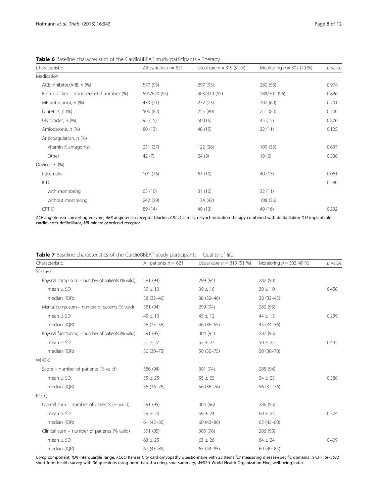<span id="page-8-0"></span>Table 6 Baseline characteristics of the CardioBBEAT study participants - Therapy

| Characteristic                         | All patients $n = 621$ | Usual care $n = 319(51\%)$ | Monitoring $n = 302$ (49 %) | $p$ value |
|----------------------------------------|------------------------|----------------------------|-----------------------------|-----------|
| Medication                             |                        |                            |                             |           |
| ACE inhibitor/ARB, n (%)               | 577 (93)               | 297 (93)                   | 280 (93)                    | 0.974     |
| Beta blocker - number/total number (%) | 591/620 (95)           | 303/319 (95)               | 288/301 (96)                | 0.826     |
| MR antagonist, $n$ (%)                 | 439 (71)               | 232 (73)                   | 207 (69)                    | 0.291     |
| Diuretics, n (%)                       | 506 (82)               | 255 (80)                   | 251 (83)                    | 0.360     |
| Glycosides, n (%)                      | 95 (15)                | 50(16)                     | 45 (15)                     | 0.876     |
| Amiodarone, n (%)                      | 80 (13)                | 48 (15)                    | 32(11)                      | 0.125     |
| Anticoagulation, n (%)                 |                        |                            |                             |           |
| Vitamin K antagonist                   | 231 (37)               | 122 (38)                   | 109(36)                     | 0.637     |
| Other                                  | 42(7)                  | 24(8)                      | 18(6)                       | 0.538     |
| Devices, n (%)                         |                        |                            |                             |           |
| Pacemaker                              | 101(16)                | 61 (19)                    | 40 (13)                     | 0.061     |
| ICD                                    |                        |                            |                             | 0.280     |
| with monitoring                        | 63 (10)                | 31(10)                     | 32(11)                      |           |
| without monitoring                     | 242 (39)               | 134 (42)                   | 108(36)                     |           |
| CRT-D                                  | 89 (14)                | 40(13)                     | 49 (16)                     | 0.232     |

ACE angiotensin converting enzyme, ARB angiotensin receptor blocker, CRT-D cardiac resynchronization therapy combined with defibrillation ICD implantable cardioverter defibrillator, MR mineralocorticoid receptor

|  |  | Table 7 Baseline characteristics of the CardioBBEAT study participants - Quality of life |  |  |  |  |  |  |
|--|--|------------------------------------------------------------------------------------------|--|--|--|--|--|--|
|--|--|------------------------------------------------------------------------------------------|--|--|--|--|--|--|

| Characteristic                                      | All patients $n = 621$ | Usual care $n = 319(51%)$ | Monitoring $n = 302$ (49 %) | $p$ value |
|-----------------------------------------------------|------------------------|---------------------------|-----------------------------|-----------|
| SF-36v2                                             |                        |                           |                             |           |
| Physical comp. sum - number of patients (% valid)   | 581 (94)               | 299 (94)                  | 282 (93)                    |           |
| mean $\pm$ SD                                       | $39 \pm 10$            | $39 \pm 10$               | $38 \pm 10$                 | 0.458     |
| median (IQR)                                        | 38 (32-46)             | 38 (32-46)                | 38 (32-45)                  |           |
| Mental comp. sum - number of patients (% valid)     | 581 (94)               | 299 (94)                  | 282 (93)                    |           |
| mean $\pm$ SD                                       | $45 \pm 13$            | $45 \pm 12$               | $44 \pm 13$                 | 0.239     |
| median (IQR)                                        | $46(35 - 56)$          | 46 (36-55)                | 45 (34-56)                  |           |
| Physical functioning – number of patients (% valid) | 591 (95)               | 304 (95)                  | 287 (95)                    |           |
| mean $\pm$ SD                                       | $51 \pm 27$            | $52 \pm 27$               | $50 \pm 27$                 | 0.445     |
| median (IQR)                                        | $50(30-75)$            | $50(30-75)$               | 50 (30-70)                  |           |
| WHO-5                                               |                        |                           |                             |           |
| Score – number of patients (% valid)                | 586 (94)               | 301 (94)                  | 285 (94)                    |           |
| $mean \pm SD$                                       | $55 \pm 25$            | $55 \pm 25$               | $54 \pm 25$                 | 0.588     |
| median (IQR)                                        | 56 (36-76)             | 56 (36-76)                | 56 (32-76)                  |           |
| <b>KCCQ</b>                                         |                        |                           |                             |           |
| Overall sum - number of patients (% valid)          | 591 (95)               | 305 (96)                  | 286 (95)                    |           |
| $mean \pm SD$                                       | $59 \pm 24$            | $59 \pm 24$               | $60 \pm 23$                 | 0.574     |
| median (IQR)                                        | $61(42 - 80)$          | $60(42 - 80)$             | $62(42 - 80)$               |           |
| Clinical sum – number of patients (% valid)         | 591 (95)               | 305 (96)                  | 286 (95)                    |           |
| $mean \pm SD$                                       | $63 \pm 25$            | $63 \pm 26$               | $64 \pm 24$                 | 0.409     |
| median (IQR)                                        | $67(45 - 85)$          | $67(44 - 85)$             | 69 (49-84)                  |           |

Comp component, IQR interquartile range, KCCQ Kansas City cardiomyopathy questionnaire with 23 items for measuring disease-specific domains in CHF, SF-36v2 short form health survey with 36 questions using norm-based scoring, sum summary, WHO-5 World Health Organization Five, well-being index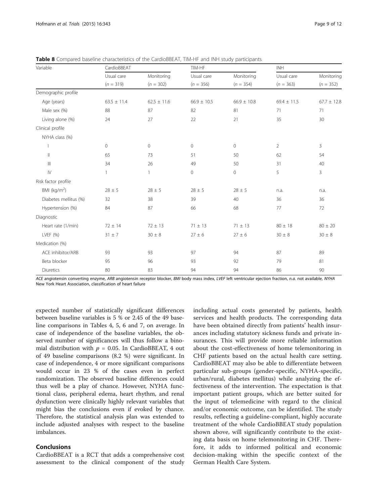| Variable                           | CardioBBEAT     |                 | TIM-HF              |                 | <b>INH</b>      |                 |
|------------------------------------|-----------------|-----------------|---------------------|-----------------|-----------------|-----------------|
|                                    | Usual care      | Monitoring      | Usual care          | Monitoring      | Usual care      | Monitoring      |
|                                    | $(n = 319)$     | $(n = 302)$     | $(n = 356)$         | $(n = 354)$     | $(n = 363)$     | $(n = 352)$     |
| Demographic profile                |                 |                 |                     |                 |                 |                 |
| Age (years)                        | $63.5 \pm 11.4$ | $62.5 \pm 11.6$ | $66.9 \pm 10.5$     | $66.9 \pm 10.8$ | $69.4 \pm 11.5$ | $67.7 \pm 12.8$ |
| Male sex (%)                       | 88              | 87              | 82                  | 81              | 71              | 71              |
| Living alone (%)                   | 24              | 27              | 22                  | 21              | 35              | 30              |
| Clinical profile                   |                 |                 |                     |                 |                 |                 |
| NYHA class (%)                     |                 |                 |                     |                 |                 |                 |
|                                    | $\circ$         | $\circ$         | 0                   | 0               | $\overline{2}$  | 3               |
| $\mathbb{H}$                       | 65              | 73              | 51                  | 50              | 62              | 54              |
| $\ensuremath{\mathsf{III}}\xspace$ | 34              | 26              | 49                  | 50              | 31              | 40              |
| ${\mathsf l} {\mathsf V}$          | $\mathbf{1}$    | $\mathbf{1}$    | $\mathsf{O}\xspace$ | 0               | 5               | 3               |
| Risk factor profile                |                 |                 |                     |                 |                 |                 |
| BMI ( $kg/m2$ )                    | $28 \pm 5$      | $28 \pm 5$      | $28 \pm 5$          | $28 \pm 5$      | n.a.            | n.a.            |
| Diabetes mellitus (%)              | 32              | 38              | 39                  | 40              | 36              | 36              |
| Hypertension (%)                   | 84              | 87              | 66                  | 68              | 77              | 72              |
| Diagnostic                         |                 |                 |                     |                 |                 |                 |
| Heart rate (1/min)                 | $72 \pm 14$     | $72 \pm 13$     | $71 \pm 13$         | $71 \pm 13$     | $80 \pm 18$     | $80 \pm 20$     |
| LVEF (%)                           | $31 \pm 7$      | $30 \pm 8$      | $27 \pm 6$          | $27 \pm 6$      | $30 \pm 8$      | $30 \pm 8$      |
| Medication (%)                     |                 |                 |                     |                 |                 |                 |
| ACE inhibitor/ARB                  | 93              | 93              | 97                  | 94              | 87              | 89              |
| Beta blocker                       | 95              | 96              | 93                  | 92              | 79              | 81              |
| Diuretics                          | 80              | 83              | 94                  | 94              | 86              | 90              |

<span id="page-9-0"></span>

|  |  |  |  | <b>Table 8</b> Compared baseline characteristics of the CardioBBEAT, TIM-HF and INH study participants |  |  |  |  |  |  |
|--|--|--|--|--------------------------------------------------------------------------------------------------------|--|--|--|--|--|--|
|--|--|--|--|--------------------------------------------------------------------------------------------------------|--|--|--|--|--|--|

ACE angiotensin converting enzyme, ARB angiotensin receptor blocker, BMI body mass index, LVEF left ventricular ejection fraction, n.g. not available, NYHA New York Heart Association, classification of heart failure

expected number of statistically significant differences between baseline variables is 5 % or 2.45 of the 49 baseline comparisons in Tables [4,](#page-6-0) [5,](#page-7-0) [6](#page-8-0) and [7,](#page-8-0) on average. In case of independence of the baseline variables, the observed number of significances will thus follow a binomial distribution with  $p = 0.05$ . In CardioBBEAT, 4 out of 49 baseline comparisons (8.2 %) were significant. In case of independence, 4 or more significant comparisons would occur in 23 % of the cases even in perfect randomization. The observed baseline differences could thus well be a play of chance. However, NYHA functional class, peripheral edema, heart rhythm, and renal dysfunction were clinically highly relevant variables that might bias the conclusions even if evoked by chance. Therefore, the statistical analysis plan was extended to include adjusted analyses with respect to the baseline imbalances.

## Conclusions

CardioBBEAT is a RCT that adds a comprehensive cost assessment to the clinical component of the study

including actual costs generated by patients, health services and health products. The corresponding data have been obtained directly from patients' health insurances including statutory sickness funds and private insurances. This will provide more reliable information about the cost-effectiveness of home telemonitoring in CHF patients based on the actual health care setting. CardioBBEAT may also be able to differentiate between particular sub-groups (gender-specific, NYHA-specific, urban/rural, diabetes mellitus) while analyzing the effectiveness of the intervention. The expectation is that important patient groups, which are better suited for the input of telemedicine with regard to the clinical and/or economic outcome, can be identified. The study results, reflecting a guideline-compliant, highly accurate treatment of the whole CardioBBEAT study population shown above, will significantly contribute to the existing data basis on home telemonitoring in CHF. Therefore, it adds to informed political and economic decision-making within the specific context of the German Health Care System.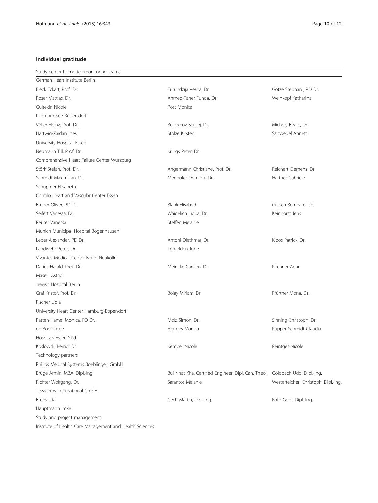## Individual gratitude

| Study center home telemonitoring teams                  |                                                                              |                                      |
|---------------------------------------------------------|------------------------------------------------------------------------------|--------------------------------------|
| German Heart Institute Berlin                           |                                                                              |                                      |
| Fleck Eckart, Prof. Dr.                                 | Furundzija Vesna, Dr.                                                        | Götze Stephan, PD Dr.                |
| Roser Mattias, Dr.                                      | Ahmed-Taner Funda, Dr.                                                       | Weinkopf Katharina                   |
| Gültekin Nicole                                         | Post Monica                                                                  |                                      |
| Klinik am See Rüdersdorf                                |                                                                              |                                      |
| Völler Heinz, Prof. Dr.                                 | Belozerov Sergej, Dr.                                                        | Michely Beate, Dr.                   |
| Hartwig-Zaidan Ines                                     | Stolze Kirsten                                                               | Salzwedel Annett                     |
| University Hospital Essen                               |                                                                              |                                      |
| Neumann Till, Prof. Dr.                                 | Krings Peter, Dr.                                                            |                                      |
| Comprehensive Heart Failure Center Würzburg             |                                                                              |                                      |
| Störk Stefan, Prof. Dr.                                 | Angermann Christiane, Prof. Dr.                                              | Reichert Clemens, Dr.                |
| Schmidt Maximilian, Dr.                                 | Menhofer Dominik, Dr.                                                        | Hartner Gabriele                     |
| Schupfner Elisabeth                                     |                                                                              |                                      |
| Contilia Heart and Vascular Center Essen                |                                                                              |                                      |
| Bruder Oliver, PD Dr.                                   | Blank Elisabeth                                                              | Grosch Bernhard, Dr.                 |
| Seifert Vanessa, Dr.                                    | Waidelich Lioba, Dr.                                                         | Keinhorst Jens                       |
| Reuter Vanessa                                          | Steffen Melanie                                                              |                                      |
| Munich Municipal Hospital Bogenhausen                   |                                                                              |                                      |
| Leber Alexander, PD Dr.                                 | Antoni Diethmar, Dr.                                                         | Kloos Patrick, Dr.                   |
| Landwehr Peter, Dr.                                     | Tomelden June                                                                |                                      |
| Vivantes Medical Center Berlin Neukölln                 |                                                                              |                                      |
| Darius Harald, Prof. Dr.                                | Meincke Carsten, Dr.                                                         | Kirchner Aenn                        |
| Maselli Astrid                                          |                                                                              |                                      |
| Jewish Hospital Berlin                                  |                                                                              |                                      |
| Graf Kristof, Prof. Dr.                                 | Bolay Miriam, Dr.                                                            | Pfürtner Mona, Dr.                   |
| Fischer Lidia                                           |                                                                              |                                      |
| University Heart Center Hamburg-Eppendorf               |                                                                              |                                      |
| Patten-Hamel Monica, PD Dr.                             | Molz Simon, Dr.                                                              | Sinning Christoph, Dr.               |
| de Boer Imkje                                           | Hermes Monika                                                                | Kupper-Schmidt Claudia               |
| Hospitals Essen Süd                                     |                                                                              |                                      |
| Koslowski Bernd, Dr.                                    | Kemper Nicole                                                                | Reintges Nicole                      |
| Technology partners                                     |                                                                              |                                      |
| Philips Medical Systems Boeblingen GmbH                 |                                                                              |                                      |
| Brüge Armin, MBA, Dipl.-Ing.                            | Bui Nhat Kha, Certified Engineer, Dipl. Can. Theol. Goldbach Udo, Dipl.-Ing. |                                      |
| Richter Wolfgang, Dr.                                   | Sarantos Melanie                                                             | Westerteicher, Christoph, Dipl.-Ing. |
| T-Systems International GmbH                            |                                                                              |                                      |
| Bruns Uta                                               | Cech Martin, Dipl.-Ing.                                                      | Foth Gerd, Dipl.-Ing.                |
| Hauptmann Imke                                          |                                                                              |                                      |
| Study and project management                            |                                                                              |                                      |
| Institute of Health Care Management and Health Sciences |                                                                              |                                      |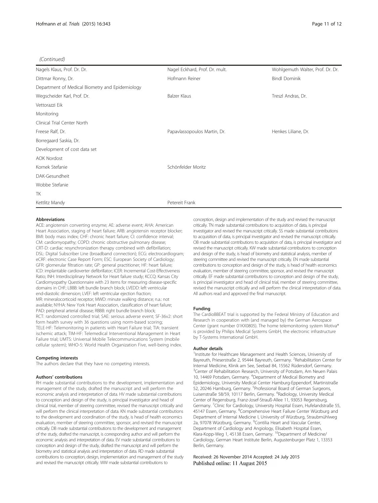#### (Continued)

| Nagels Klaus, Prof. Dr. Dr.                     | Nagel Eckhard, Prof. Dr. mult. | Wohlgemuth Walter, Prof. Dr. Dr. |  |  |
|-------------------------------------------------|--------------------------------|----------------------------------|--|--|
| Dittmar Ronny, Dr.                              | Hofmann Reiner                 | <b>Bindl Dominik</b>             |  |  |
| Department of Medical Biometry and Epidemiology |                                |                                  |  |  |
| Wegscheider Karl, Prof. Dr.                     | Balzer Klaus                   | Treszl Andras, Dr.               |  |  |
| Vettorazzi Eik                                  |                                |                                  |  |  |
| Monitoring                                      |                                |                                  |  |  |
| Clinical Trial Center North                     |                                |                                  |  |  |
| Freese Ralf, Dr.                                | Papavlassopoulos Martin, Dr.   | Henkes Liliane, Dr.              |  |  |
| Borregaard Saskia, Dr.                          |                                |                                  |  |  |
| Development of cost data set                    |                                |                                  |  |  |
| <b>AOK Nordost</b>                              |                                |                                  |  |  |
| Kornek Stefanie                                 | Schönfelder Moritz             |                                  |  |  |
| DAK-Gesundheit                                  |                                |                                  |  |  |
| Wobbe Stefanie                                  |                                |                                  |  |  |
| TK                                              |                                |                                  |  |  |
| Kettlitz Mandy                                  | Petereit Frank                 |                                  |  |  |

#### Abbreviations

ACE: angiotensin converting enzyme; AE: adverse event; AHA: American Heart Association, staging of heart failure; ARB: angiotensin receptor blocker; BMI: body mass index; CHF: chronic heart failure; CI: confidence interval; CM: cardiomyopathy; COPD: chronic obstructive pulmonary disease; CRT-D: cardiac resynchronization therapy combined with defibrillation; DSL: Digital Subscriber Line (broadband connection); ECG: electrocardiogram; eCRF: electronic Case Report Form; ESC: European Society of Cardiology; GFR: glomerular filtration rate; GP: general practitioner; HF: heart failure; ICD: implantable cardioverter defibrillator; ICER: Incremental Cost-Effectiveness Ratio; INH: Interdisciplinary Network for Heart failure study; KCCQ: Kansas City Cardiomyopathy Questionnaire with 23 items for measuring disease-specific domains in CHF; LBBB: left bundle branch block; LVEDD: left ventricular end-diastolic dimension; LVEF: left ventricular ejection fraction; MR: mineralocorticoid receptor; MWD: minute walking distance; n.a.: not available; NYHA: New York Heart Association, classification of heart failure; PAD: peripheral arterial disease; RBBB: right bundle branch block; RCT: randomized controlled trial; SAE: serious adverse event; SF-36v2: short form health survey with 36 questions using norm-based scoring; TELE-HF: Telemonitoring in patients with Heart Failure trial; TIA: transient ischemic attack; TIM-HF: Telemedical Interventional Management in Heart Failure trial; UMTS: Universal Mobile Telecommunications System (mobile cellular system); WHO-5: World Health Organization Five, well-being index.

#### Competing interests

The authors declare that they have no competing interests.

#### Authors' contributions

RH made substantial contributions to the development, implementation and management of the study, drafted the manuscript and will perform the economic analysis and interpretation of data. HV made substantial contributions to conception and design of the study, is principal investigator and head of clinical trial, member of steering committee, revised the manuscript critically and will perform the clinical interpretation of data. KN made substantial contributions to the development and coordination of the study, is head of health economics evaluation, member of steering committee, sponsor, and revised the manuscript critically. DB made substantial contributions to the development and management of the study, drafted the manuscript, is corresponding author and will perform the economic analysis and interpretation of data. EV made substantial contributions to conception and design of the study, drafted the manuscript and will perform the biometry and statistical analysis and interpretation of data. RD made substantial contributions to conception, design, implementation and management of the study and revised the manuscript critically. WW made substantial contributions to

conception, design and implementation of the study and revised the manuscript critically. TN made substantial contributions to acquisition of data, is principal investigator and revised the manuscript critically. SS made substantial contributions to acquisition of data, is principal investigator and revised the manuscript critically. OB made substantial contributions to acquisition of data, is principal investigator and revised the manuscript critically. KW made substantial contributions to conception and design of the study, is head of biometry and statistical analysis, member of steering committee and revised the manuscript critically. EN made substantial contributions to conception and design of the study, is head of health economics evaluation, member of steering committee, sponsor, and revised the manuscript critically. EF made substantial contributions to conception and design of the study, is principal investigator and head of clinical trial, member of steering committee, revised the manuscript critically and will perform the clinical interpretation of data. All authors read and approved the final manuscript.

#### Funding

The CardioBBEAT trial is supported by the Federal Ministry of Education and Research in cooperation with (and managed by) the German Aerospace Center (grant number 01KX0805). The home telemonitoring system Motiva® is provided by Philips Medical Systems GmbH, the electronic infrastructure by T-Systems International GmbH.

#### Author details

<sup>1</sup>Institute for Healthcare Management and Health Sciences, University of Bayreuth, Prieserstraße 2, 95444 Bayreuth, Germany. <sup>2</sup>Rehabilitation Center for Internal Medicine, Klinik am See, Seebad 84, 15562 Rüdersdorf, Germany. <sup>3</sup> Center of Rehabilitation Research, University of Potsdam, Am Neuen Palais 10, 14469 Potsdam, Germany. <sup>4</sup>Department of Medical Biometry and Epidemiology, University Medical Center Hamburg-Eppendorf, Martinistraße 52, 20246 Hamburg, Germany. <sup>5</sup>Professional Board of German Surgeons Luisenstraße 58/59, 10117 Berlin, Germany. <sup>6</sup>Radiology, University Medical Center of Regensburg, Franz-Josef-Strauß-Allee 11, 93053 Regensburg, Germany. <sup>7</sup> Clinic for Cardiology, University Hospital Essen, Hufelandstraße 55 45147 Essen, Germany. <sup>8</sup> Comprehensive Heart Failure Center Würzburg and Department of Internal Medicine I, University of Würzburg, Straubmühlweg 2a, 97078 Würzburg, Germany. <sup>9</sup>Contilia Heart and Vascular Center Department of Cardiology and Angiology, Elisabeth Hospital Essen, Klara-Kopp-Weg 1, 45138 Essen, Germany. <sup>10</sup>Department of Medicine/ Cardiology, German Heart Institute Berlin, Augustenburger Platz 1, 13353 Berlin, Germany.

Received: 26 November 2014 Accepted: 24 July 2015 Published online: 11 August 2015